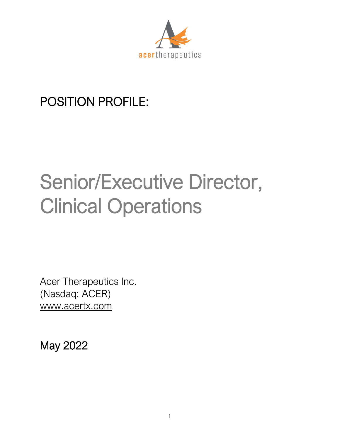

## POSITION PROFILE:

# Senior/Executive Director, Clinical Operations

Acer Therapeutics Inc. (Nasdaq: ACER) [www.acertx.com](http://www.acertx.com/)

May 2022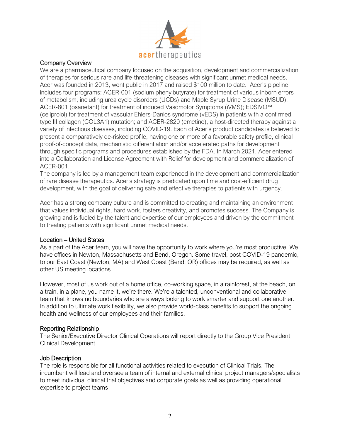

### Company Overview

We are a pharmaceutical company focused on the acquisition, development and commercialization of therapies for serious rare and life-threatening diseases with significant unmet medical needs. Acer was founded in 2013, went public in 2017 and raised \$100 million to date. Acer's pipeline includes four programs: ACER-001 (sodium phenylbutyrate) for treatment of various inborn errors of metabolism, including urea cycle disorders (UCDs) and Maple Syrup Urine Disease (MSUD); ACER-801 (osanetant) for treatment of induced Vasomotor Symptoms (iVMS); EDSIVO™ (celiprolol) for treatment of vascular Ehlers-Danlos syndrome (vEDS) in patients with a confirmed type III collagen (COL3A1) mutation; and ACER-2820 (emetine), a host-directed therapy against a variety of infectious diseases, including COVID-19. Each of Acer's product candidates is believed to present a comparatively de-risked profile, having one or more of a favorable safety profile, clinical proof-of-concept data, mechanistic differentiation and/or accelerated paths for development through specific programs and procedures established by the FDA. In March 2021, Acer entered into a Collaboration and License Agreement with Relief for development and commercialization of ACER-001.

The company is led by a management team experienced in the development and commercialization of rare disease therapeutics. Acer's strategy is predicated upon time and cost-efficient drug development, with the goal of delivering safe and effective therapies to patients with urgency.

Acer has a strong company culture and is committed to creating and maintaining an environment that values individual rights, hard work, fosters creativity, and promotes success. The Company is growing and is fueled by the talent and expertise of our employees and driven by the commitment to treating patients with significant unmet medical needs.

### Location – United States

As a part of the Acer team, you will have the opportunity to work where you're most productive. We have offices in Newton, Massachusetts and Bend, Oregon. Some travel, post COVID-19 pandemic, to our East Coast (Newton, MA) and West Coast (Bend, OR) offices may be required, as well as other US meeting locations.

However, most of us work out of a home office, co-working space, in a rainforest, at the beach, on a train, in a plane, you name it, we're there. We're a talented, unconventional and collaborative team that knows no boundaries who are always looking to work smarter and support one another. In addition to ultimate work flexibility, we also provide world-class benefits to support the ongoing health and wellness of our employees and their families.

### Reporting Relationship

The Senior/Executive Director Clinical Operations will report directly to the Group Vice President, Clinical Development.

### Job Description

The role is responsible for all functional activities related to execution of Clinical Trials. The incumbent will lead and oversee a team of internal and external clinical project managers/specialists to meet individual clinical trial objectives and corporate goals as well as providing operational expertise to project teams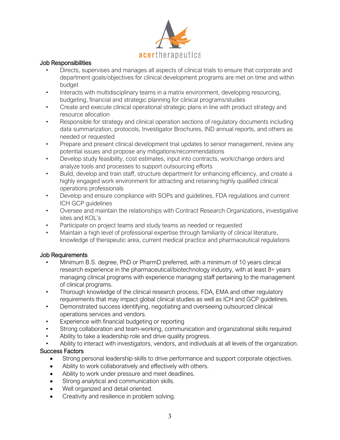

### Job Responsibilities

- Directs, supervises and manages all aspects of clinical trials to ensure that corporate and department goals/objectives for clinical development programs are met on time and within budget
- Interacts with multidisciplinary teams in a matrix environment, developing resourcing, budgeting, financial and strategic planning for clinical programs/studies
- Create and execute clinical operational strategic plans in line with product strategy and resource allocation
- Responsible for strategy and clinical operation sections of regulatory documents including data summarization, protocols, Investigator Brochures, IND annual reports, and others as needed or requested
- Prepare and present clinical development trial updates to senior management, review any potential issues and propose any mitigations/recommendations
- Develop study feasibility, cost estimates, input into contracts, work/change orders and analyze tools and processes to support outsourcing efforts
- Build, develop and train staff, structure department for enhancing efficiency, and create a highly engaged work environment for attracting and retaining highly qualified clinical operations professionals
- Develop and ensure compliance with SOPs and guidelines, FDA regulations and current ICH GCP guidelines
- Oversee and maintain the relationships with Contract Research Organizations, investigative sites and KOL's
- Participate on project teams and study teams as needed or requested
- Maintain a high level of professional expertise through familiarity of clinical literature, knowledge of therapeutic area, current medical practice and pharmaceutical regulations

### Job Requirements

- Minimum B.S. degree, PhD or PharmD preferred, with a minimum of 10 years clinical research experience in the pharmaceutical/biotechnology industry, with at least 8+ years managing clinical programs with experience managing staff pertaining to the management of clinical programs.
- Thorough knowledge of the clinical research process, FDA, EMA and other regulatory requirements that may impact global clinical studies as well as ICH and GCP guidelines.
- Demonstrated success identifying, negotiating and overseeing outsourced clinical operations services and vendors.
- Experience with financial budgeting or reporting
- Strong collaboration and team-working, communication and organizational skills required
- Ability to take a leadership role and drive quality progress.
- Ability to interact with investigators, vendors, and individuals at all levels of the organization.

### Success Factors

- Strong personal leadership skills to drive performance and support corporate objectives.
- Ability to work collaboratively and effectively with others.
- Ability to work under pressure and meet deadlines.
- Strong analytical and communication skills.
- Well organized and detail oriented.
- Creativity and resilience in problem solving.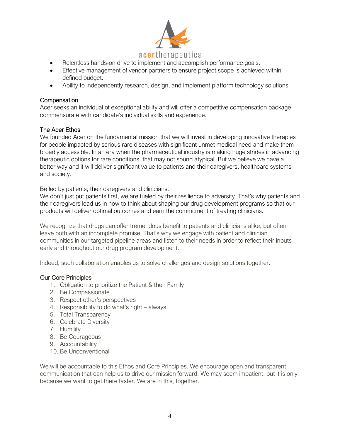

- Relentless hands-on drive to implement and accomplish performance goals.
- Effective management of vendor partners to ensure project scope is achieved within defined budget.
- Ability to independently research, design, and implement platform technology solutions.

#### **Compensation**

Acer seeks an individual of exceptional ability and will offer a competitive compensation package commensurate with candidate's individual skills and experience.

#### The Acer Ethos

We founded Acer on the fundamental mission that we will invest in developing innovative therapies for people impacted by serious rare diseases with significant unmet medical need and make them broadly accessible. In an era when the pharmaceutical industry is making huge strides in advancing therapeutic options for rare conditions, that may not sound atypical. But we believe we have a better way and it will deliver significant value to patients and their caregivers, healthcare systems and society.

Be led by patients, their caregivers and clinicians.

We don't just put patients first, we are fueled by their resilience to adversity. That's why patients and their caregivers lead us in how to think about shaping our drug development programs so that our products will deliver optimal outcomes and earn the commitment of treating clinicians.

We recognize that drugs can offer tremendous benefit to patients and clinicians alike, but often leave both with an incomplete promise. That's why we engage with patient and clinician communities in our targeted pipeline areas and listen to their needs in order to reflect their inputs early and throughout our drug program development.

Indeed, such collaboration enables us to solve challenges and design solutions together.

#### Our Core Principles

- 1. Obligation to prioritize the Patient & their Family
- 2. Be Compassionate
- 3. Respect other's perspectives
- 4. Responsibility to do what's right always!
- 5. Total Transparency
- 6. Celebrate Diversity
- 7. Humility
- 8. Be Courageous
- 9. Accountability
- 10. Be Unconventional

We will be accountable to this Ethos and Core Principles. We encourage open and transparent communication that can help us to drive our mission forward. We may seem impatient, but it is only because we want to get there faster. We are in this, together.